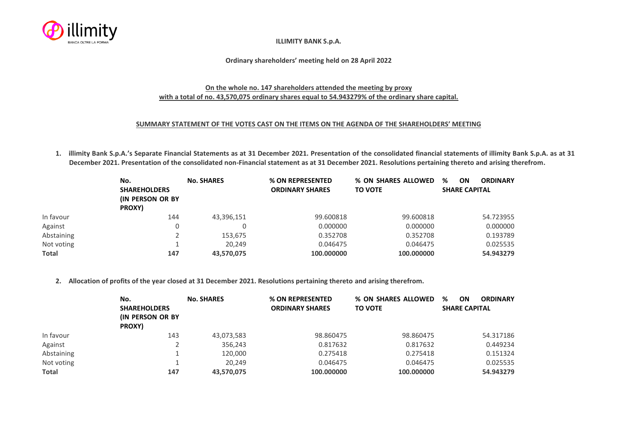

## **ILLIMITY BANK S.p.A.**

## **Ordinary shareholders' meeting held on 28 April 2022**

## **On the whole no. 147 shareholders attended the meeting by proxy with a total of no. 43,570,075 ordinary shares equal to 54.943279% of the ordinary share capital.**

## **SUMMARY STATEMENT OF THE VOTES CAST ON THE ITEMS ON THE AGENDA OF THE SHAREHOLDERS' MEETING**

**1. illimity Bank S.p.A.'s Separate Financial Statements as at 31 December 2021. Presentation of the consolidated financial statements of illimity Bank S.p.A. as at 31 December 2021. Presentation of the consolidated non-Financial statement as at 31 December 2021. Resolutions pertaining thereto and arising therefrom.**

|            | No.<br><b>SHAREHOLDERS</b><br><b>(IN PERSON OR BY)</b><br>PROXY) | <b>No. SHARES</b> | % ON REPRESENTED<br><b>ORDINARY SHARES</b> | % ON SHARES ALLOWED<br><b>TO VOTE</b> | %<br><b>ON</b><br><b>ORDINARY</b><br><b>SHARE CAPITAL</b> |
|------------|------------------------------------------------------------------|-------------------|--------------------------------------------|---------------------------------------|-----------------------------------------------------------|
| In favour  | 144                                                              | 43,396,151        | 99.600818                                  | 99.600818                             | 54.723955                                                 |
| Against    |                                                                  |                   | 0.000000                                   | 0.000000                              | 0.000000                                                  |
| Abstaining |                                                                  | 153,675           | 0.352708                                   | 0.352708                              | 0.193789                                                  |
| Not voting |                                                                  | 20,249            | 0.046475                                   | 0.046475                              | 0.025535                                                  |
| Total      | 147                                                              | 43,570,075        | 100.000000                                 | 100.000000                            | 54.943279                                                 |

**2. Allocation of profits of the year closed at 31 December 2021. Resolutions pertaining thereto and arising therefrom.**

|              | No.<br><b>SHAREHOLDERS</b><br><b>IN PERSON OR BY</b><br>PROXY) | <b>No. SHARES</b> | % ON REPRESENTED<br><b>ORDINARY SHARES</b> | % ON SHARES ALLOWED<br><b>TO VOTE</b> | %<br><b>ON</b><br><b>ORDINARY</b><br><b>SHARE CAPITAL</b> |
|--------------|----------------------------------------------------------------|-------------------|--------------------------------------------|---------------------------------------|-----------------------------------------------------------|
| In favour    | 143                                                            | 43,073,583        | 98.860475                                  | 98.860475                             | 54.317186                                                 |
| Against      |                                                                | 356,243           | 0.817632                                   | 0.817632                              | 0.449234                                                  |
| Abstaining   |                                                                | 120,000           | 0.275418                                   | 0.275418                              | 0.151324                                                  |
| Not voting   |                                                                | 20.249            | 0.046475                                   | 0.046475                              | 0.025535                                                  |
| <b>Total</b> | 147                                                            | 43,570,075        | 100.000000                                 | 100.000000                            | 54.943279                                                 |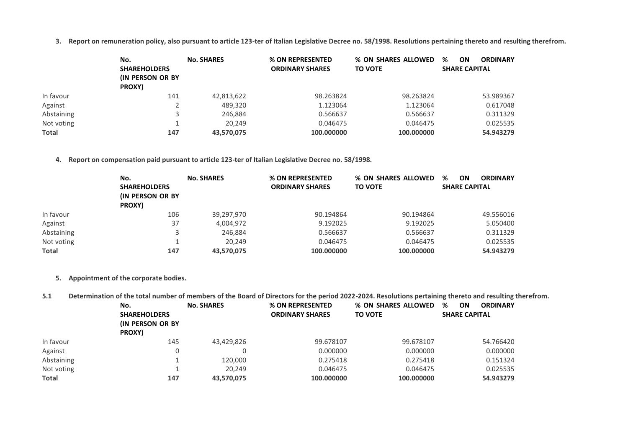**3. Report on remuneration policy, also pursuant to article 123-ter of Italian Legislative Decree no. 58/1998. Resolutions pertaining thereto and resulting therefrom.**

|              | No.<br><b>SHAREHOLDERS</b><br>(IN PERSON OR BY<br>PROXY) | <b>No. SHARES</b> | % ON REPRESENTED<br><b>ORDINARY SHARES</b> | % ON SHARES ALLOWED<br><b>TO VOTE</b> | %<br>ON<br><b>ORDINARY</b><br><b>SHARE CAPITAL</b> |
|--------------|----------------------------------------------------------|-------------------|--------------------------------------------|---------------------------------------|----------------------------------------------------|
| In favour    | 141                                                      | 42,813,622        | 98.263824                                  | 98.263824                             | 53.989367                                          |
| Against      |                                                          | 489,320           | 1.123064                                   | 1.123064                              | 0.617048                                           |
| Abstaining   |                                                          | 246,884           | 0.566637                                   | 0.566637                              | 0.311329                                           |
| Not voting   |                                                          | 20.249            | 0.046475                                   | 0.046475                              | 0.025535                                           |
| <b>Total</b> | 147                                                      | 43,570,075        | 100.000000                                 | 100.000000                            | 54.943279                                          |

**4. Report on compensation paid pursuant to article 123-ter of Italian Legislative Decree no. 58/1998.**

|              | No.<br><b>SHAREHOLDERS</b><br><b>IN PERSON OR BY</b> | <b>No. SHARES</b> | % ON REPRESENTED<br><b>ORDINARY SHARES</b> | % ON SHARES ALLOWED<br><b>TO VOTE</b> | %<br>ON<br><b>ORDINARY</b><br><b>SHARE CAPITAL</b> |
|--------------|------------------------------------------------------|-------------------|--------------------------------------------|---------------------------------------|----------------------------------------------------|
| In favour    | PROXY)<br>106                                        | 39,297,970        | 90.194864                                  | 90.194864                             | 49.556016                                          |
| Against      | 37                                                   | 4,004,972         | 9.192025                                   | 9.192025                              | 5.050400                                           |
| Abstaining   |                                                      | 246,884           | 0.566637                                   | 0.566637                              | 0.311329                                           |
| Not voting   |                                                      | 20,249            | 0.046475                                   | 0.046475                              | 0.025535                                           |
| <b>Total</b> | 147                                                  | 43,570,075        | 100.000000                                 | 100.000000                            | 54.943279                                          |

**5. Appointment of the corporate bodies.**

**5.1 Determination of the total number of members of the Board of Directors for the period 2022-2024. Resolutions pertaining thereto and resulting therefrom.**

|              | No.<br><b>SHAREHOLDERS</b><br><b>(IN PERSON OR BY)</b><br>PROXY) | <b>No. SHARES</b> | % ON REPRESENTED<br><b>ORDINARY SHARES</b> | % ON SHARES ALLOWED<br><b>TO VOTE</b> | %<br><b>ORDINARY</b><br>ON<br><b>SHARE CAPITAL</b> |
|--------------|------------------------------------------------------------------|-------------------|--------------------------------------------|---------------------------------------|----------------------------------------------------|
| In favour    | 145                                                              | 43,429,826        | 99.678107                                  | 99.678107                             | 54.766420                                          |
| Against      |                                                                  | 0                 | 0.000000                                   | 0.000000                              | 0.000000                                           |
| Abstaining   |                                                                  | 120,000           | 0.275418                                   | 0.275418                              | 0.151324                                           |
| Not voting   |                                                                  | 20,249            | 0.046475                                   | 0.046475                              | 0.025535                                           |
| <b>Total</b> | 147                                                              | 43,570,075        | 100.000000                                 | 100.000000                            | 54.943279                                          |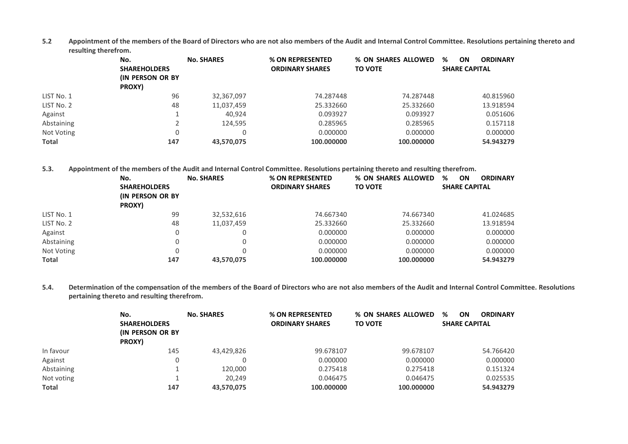**5.2 Appointment of the members of the Board of Directors who are not also members of the Audit and Internal Control Committee. Resolutions pertaining thereto and resulting therefrom.**

|              | No.<br><b>SHAREHOLDERS</b><br><b>(IN PERSON OR BY)</b><br>PROXY) | <b>No. SHARES</b> | % ON REPRESENTED<br><b>ORDINARY SHARES</b> | % ON SHARES ALLOWED<br><b>TO VOTE</b> | %<br>ON<br><b>ORDINARY</b><br><b>SHARE CAPITAL</b> |
|--------------|------------------------------------------------------------------|-------------------|--------------------------------------------|---------------------------------------|----------------------------------------------------|
| LIST No. 1   | 96                                                               | 32,367,097        | 74.287448                                  | 74.287448                             | 40.815960                                          |
| LIST No. 2   | 48                                                               | 11,037,459        | 25.332660                                  | 25.332660                             | 13.918594                                          |
| Against      |                                                                  | 40,924            | 0.093927                                   | 0.093927                              | 0.051606                                           |
| Abstaining   |                                                                  | 124,595           | 0.285965                                   | 0.285965                              | 0.157118                                           |
| Not Voting   |                                                                  | 0                 | 0.000000                                   | 0.000000                              | 0.000000                                           |
| <b>Total</b> | 147                                                              | 43,570,075        | 100.000000                                 | 100.000000                            | 54.943279                                          |

**5.3. Appointment of the members of the Audit and Internal Control Committee. Resolutions pertaining thereto and resulting therefrom.**

|              | No.<br><b>SHAREHOLDERS</b><br><b>(IN PERSON OR BY)</b> | <b>No. SHARES</b> | % ON REPRESENTED<br><b>ORDINARY SHARES</b> | % ON SHARES ALLOWED<br><b>TO VOTE</b> | %<br><b>ON</b><br><b>ORDINARY</b><br><b>SHARE CAPITAL</b> |
|--------------|--------------------------------------------------------|-------------------|--------------------------------------------|---------------------------------------|-----------------------------------------------------------|
|              | PROXY)                                                 |                   |                                            |                                       |                                                           |
| LIST No. 1   | 99                                                     | 32,532,616        | 74.667340                                  | 74.667340                             | 41.024685                                                 |
| LIST No. 2   | 48                                                     | 11,037,459        | 25.332660                                  | 25.332660                             | 13.918594                                                 |
| Against      | U                                                      | 0                 | 0.000000                                   | 0.000000                              | 0.000000                                                  |
| Abstaining   |                                                        | 0                 | 0.000000                                   | 0.000000                              | 0.000000                                                  |
| Not Voting   |                                                        | 0                 | 0.000000                                   | 0.000000                              | 0.000000                                                  |
| <b>Total</b> | 147                                                    | 43,570,075        | 100.000000                                 | 100.000000                            | 54.943279                                                 |

**5.4. Determination of the compensation of the members of the Board of Directors who are not also members of the Audit and Internal Control Committee. Resolutions pertaining thereto and resulting therefrom.**

|              | No.                                                      | <b>No. SHARES</b> | % ON REPRESENTED       | % ON SHARES ALLOWED | %<br>ON<br><b>ORDINARY</b> |
|--------------|----------------------------------------------------------|-------------------|------------------------|---------------------|----------------------------|
|              | <b>SHAREHOLDERS</b><br><b>(IN PERSON OR BY</b><br>PROXY) |                   | <b>ORDINARY SHARES</b> | <b>TO VOTE</b>      | <b>SHARE CAPITAL</b>       |
| In favour    | 145                                                      | 43,429,826        | 99.678107              | 99.678107           | 54.766420                  |
| Against      |                                                          |                   | 0.000000               | 0.000000            | 0.000000                   |
| Abstaining   |                                                          | 120,000           | 0.275418               | 0.275418            | 0.151324                   |
| Not voting   |                                                          | 20.249            | 0.046475               | 0.046475            | 0.025535                   |
| <b>Total</b> | 147                                                      | 43,570,075        | 100.000000             | 100.000000          | 54.943279                  |